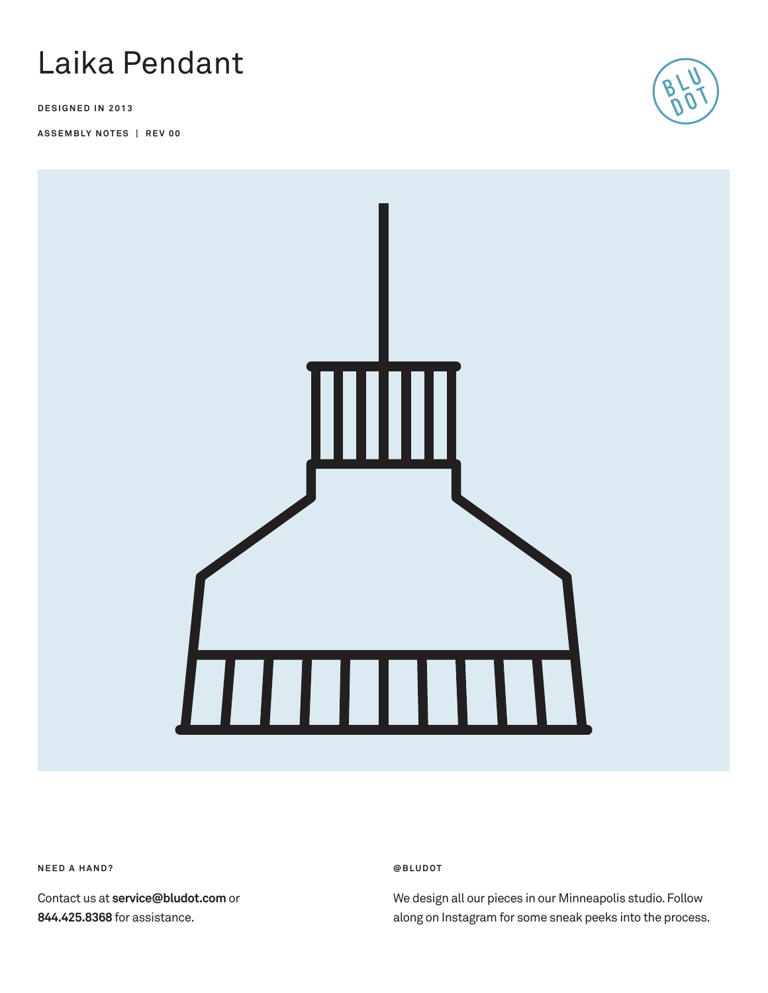

**DESIGNED IN 2013**

**ASSEMBLY NOTES | REV 00**





**N E E D A H A N D ?** 

Contact us at **service@bludot.com** or **844.425.8368** for assistance.

**@ B L U D O T** 

We design all our pieces in our Minneapolis studio. Follow along on Instagram for some sneak peeks into the process.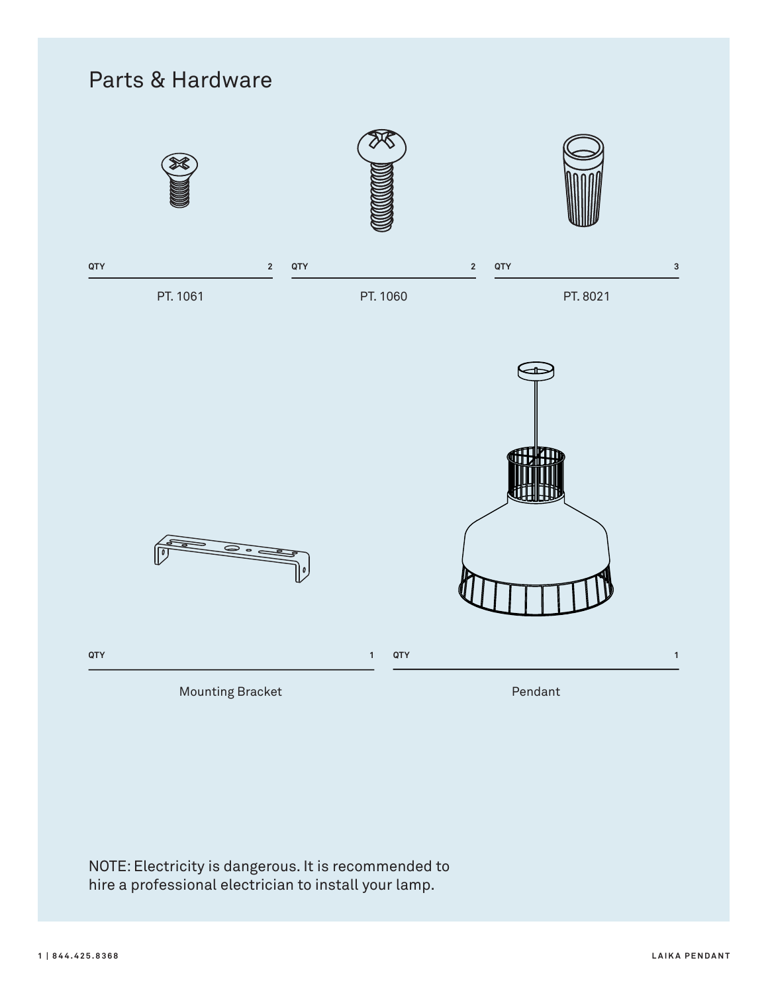

NOTE: Electricity is dangerous. It is recommended to hire a professional electrician to install your lamp.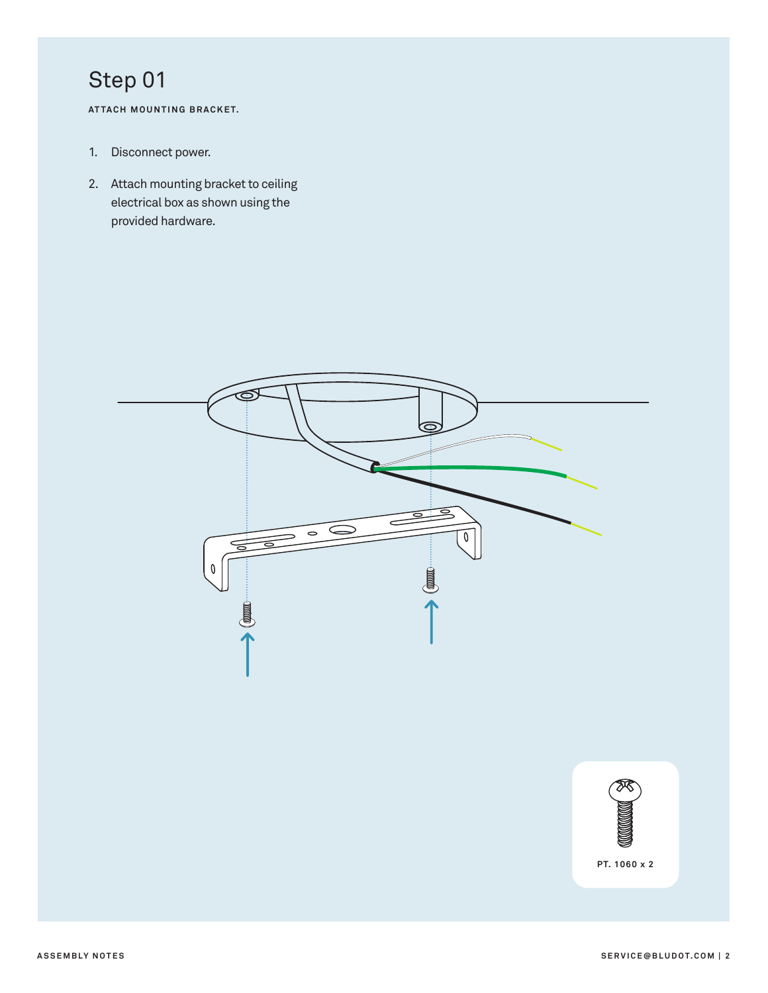**AT TACH MOUNTING BRACKET.**

- 1. Disconnect power.
- 2. Attach mounting bracket to ceiling electrical box as shown using the provided hardware.



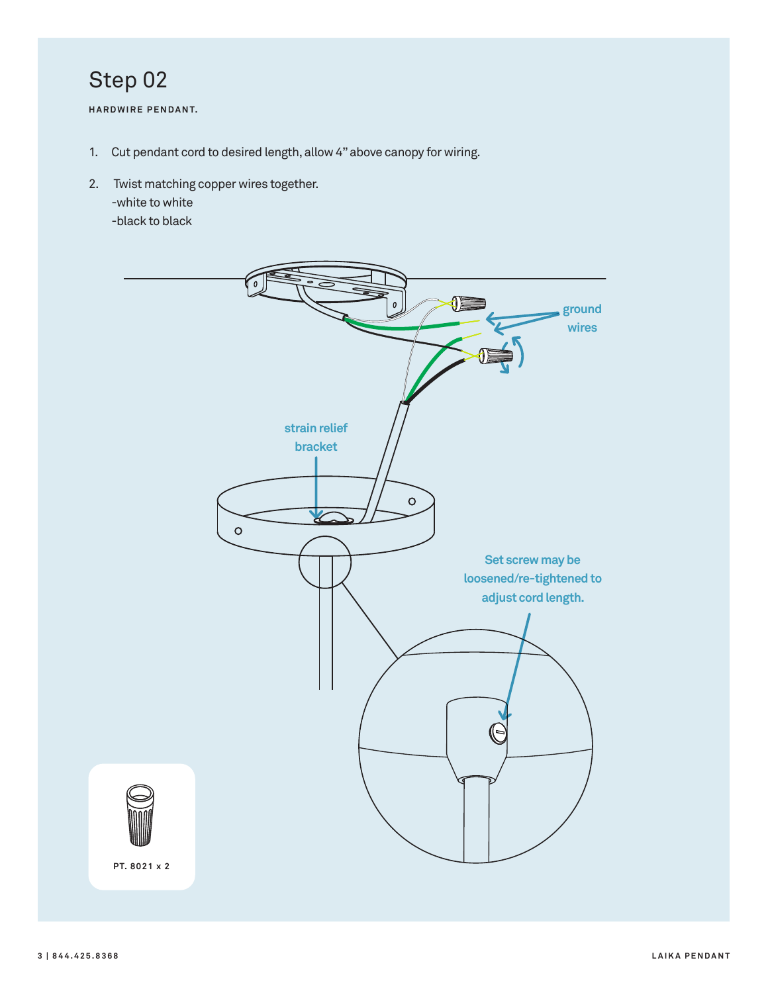**HARDWIRE PENDANT.**

- 1. Cut pendant cord to desired length, allow 4" above canopy for wiring.
- 2. Twist matching copper wires together. -white to white -black to black

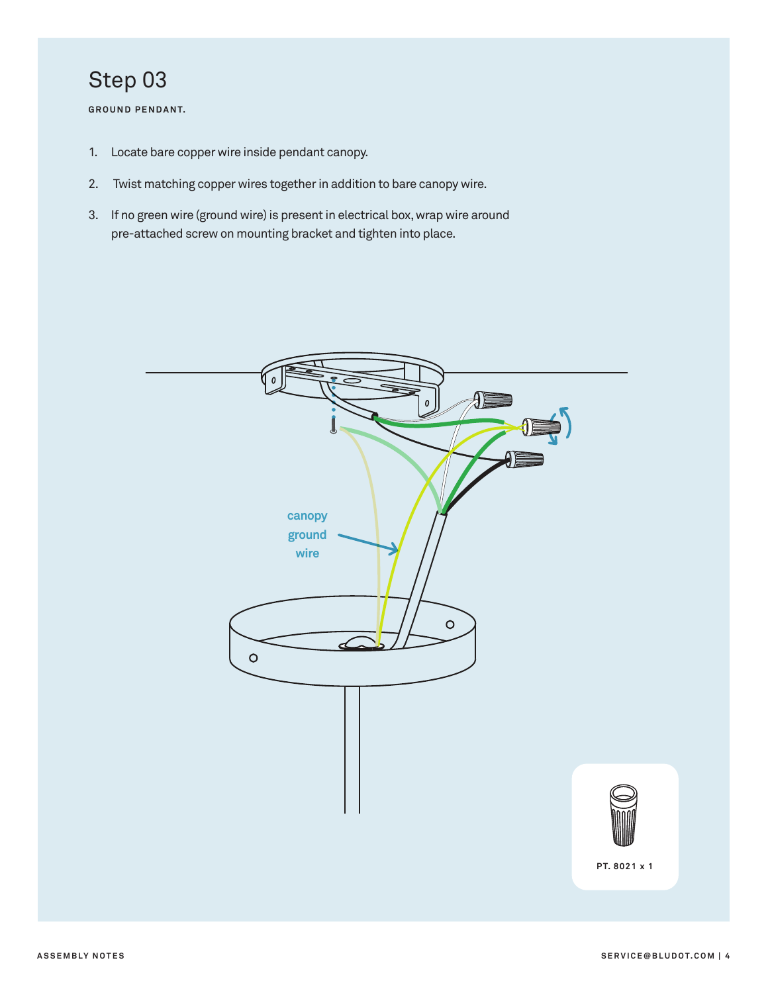**GROUND PENDANT.**

- 1. Locate bare copper wire inside pendant canopy.
- 2. Twist matching copper wires together in addition to bare canopy wire.
- 3. If no green wire (ground wire) is present in electrical box, wrap wire around pre-attached screw on mounting bracket and tighten into place.

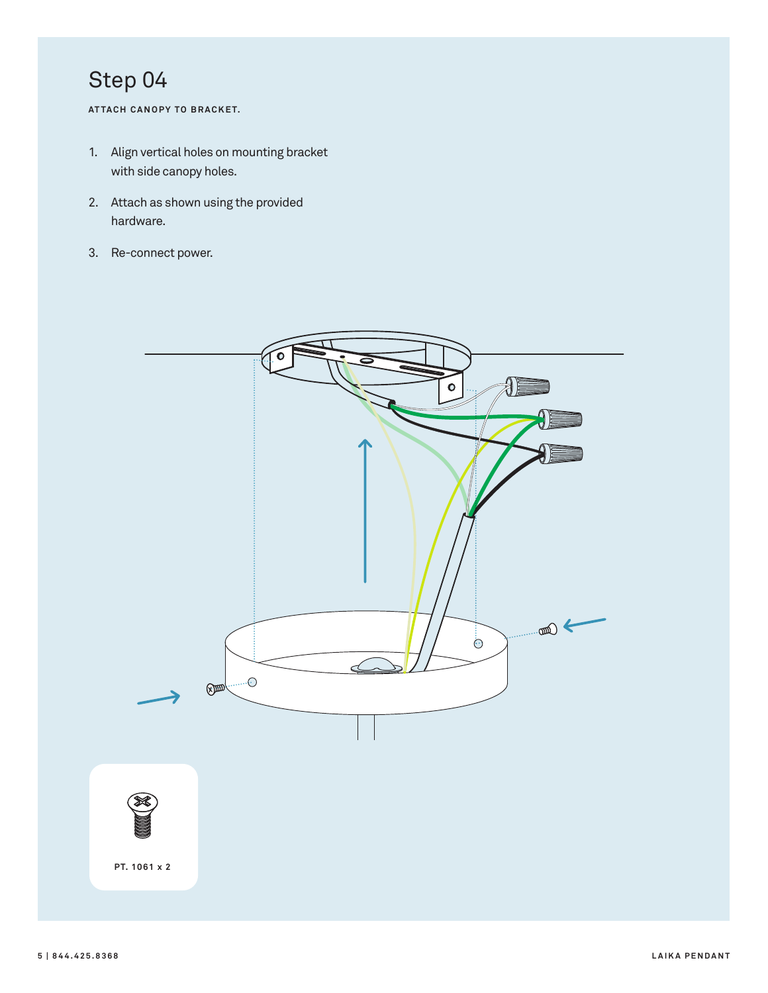**AT TACH CANOPY TO BRACKET.**

- 1. Align vertical holes on mounting bracket with side canopy holes.
- 2. Attach as shown using the provided hardware.
- 3. Re-connect power.